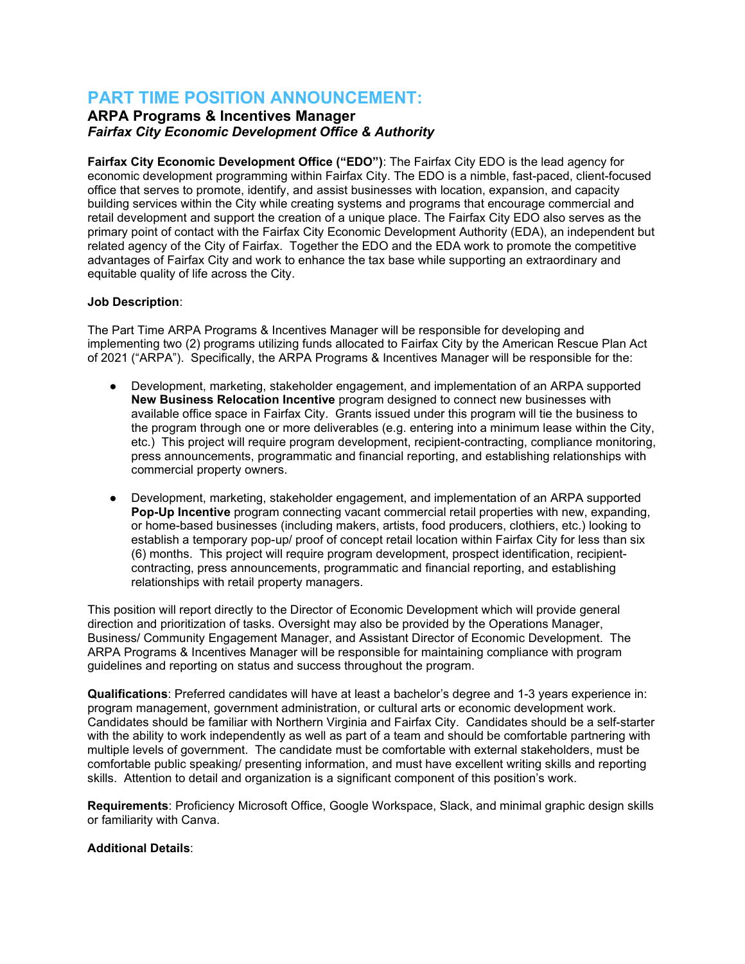# **PART TIME POSITION ANNOUNCEMENT:**

## **ARPA Programs & Incentives Manager** *Fairfax City Economic Development Office & Authority*

**Fairfax City Economic Development Office ("EDO")**: The Fairfax City EDO is the lead agency for economic development programming within Fairfax City. The EDO is a nimble, fast-paced, client-focused office that serves to promote, identify, and assist businesses with location, expansion, and capacity building services within the City while creating systems and programs that encourage commercial and retail development and support the creation of a unique place. The Fairfax City EDO also serves as the primary point of contact with the Fairfax City Economic Development Authority (EDA), an independent but related agency of the City of Fairfax. Together the EDO and the EDA work to promote the competitive advantages of Fairfax City and work to enhance the tax base while supporting an extraordinary and equitable quality of life across the City.

### **Job Description**:

The Part Time ARPA Programs & Incentives Manager will be responsible for developing and implementing two (2) programs utilizing funds allocated to Fairfax City by the American Rescue Plan Act of 2021 ("ARPA"). Specifically, the ARPA Programs & Incentives Manager will be responsible for the:

- Development, marketing, stakeholder engagement, and implementation of an ARPA supported **New Business Relocation Incentive** program designed to connect new businesses with available office space in Fairfax City. Grants issued under this program will tie the business to the program through one or more deliverables (e.g. entering into a minimum lease within the City, etc.) This project will require program development, recipient-contracting, compliance monitoring, press announcements, programmatic and financial reporting, and establishing relationships with commercial property owners.
- Development, marketing, stakeholder engagement, and implementation of an ARPA supported **Pop-Up Incentive** program connecting vacant commercial retail properties with new, expanding, or home-based businesses (including makers, artists, food producers, clothiers, etc.) looking to establish a temporary pop-up/ proof of concept retail location within Fairfax City for less than six (6) months. This project will require program development, prospect identification, recipientcontracting, press announcements, programmatic and financial reporting, and establishing relationships with retail property managers.

This position will report directly to the Director of Economic Development which will provide general direction and prioritization of tasks. Oversight may also be provided by the Operations Manager, Business/ Community Engagement Manager, and Assistant Director of Economic Development. The ARPA Programs & Incentives Manager will be responsible for maintaining compliance with program guidelines and reporting on status and success throughout the program.

**Qualifications**: Preferred candidates will have at least a bachelor's degree and 1-3 years experience in: program management, government administration, or cultural arts or economic development work. Candidates should be familiar with Northern Virginia and Fairfax City. Candidates should be a self-starter with the ability to work independently as well as part of a team and should be comfortable partnering with multiple levels of government. The candidate must be comfortable with external stakeholders, must be comfortable public speaking/ presenting information, and must have excellent writing skills and reporting skills. Attention to detail and organization is a significant component of this position's work.

**Requirements**: Proficiency Microsoft Office, Google Workspace, Slack, and minimal graphic design skills or familiarity with Canva.

#### **Additional Details**: